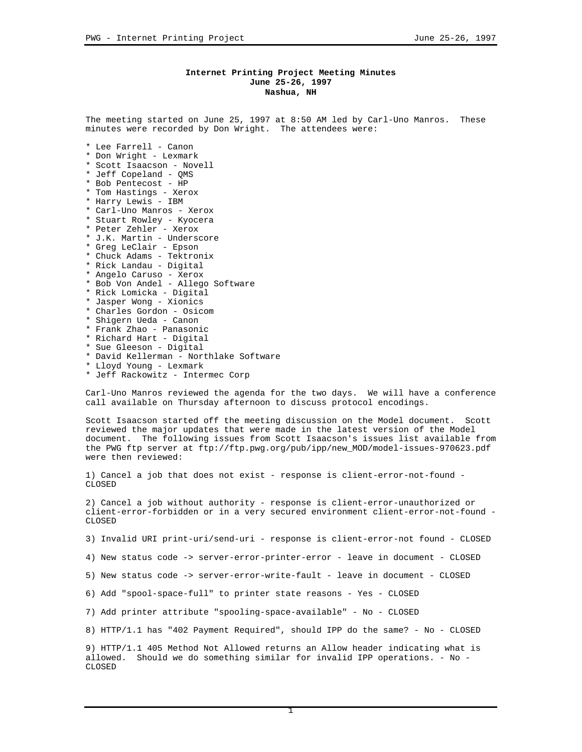## **Internet Printing Project Meeting Minutes June 25-26, 1997 Nashua, NH**

The meeting started on June 25, 1997 at 8:50 AM led by Carl-Uno Manros. These minutes were recorded by Don Wright. The attendees were:

- \* Lee Farrell Canon
- \* Don Wright Lexmark
- \* Scott Isaacson Novell
- \* Jeff Copeland QMS
- \* Bob Pentecost HP
- \* Tom Hastings Xerox
- \* Harry Lewis IBM
- \* Carl-Uno Manros Xerox
- \* Stuart Rowley Kyocera
- \* Peter Zehler Xerox \* J.K. Martin - Underscore
- \* Greg LeClair Epson
- \* Chuck Adams Tektronix
- \* Rick Landau Digital
- \* Angelo Caruso Xerox
- \* Bob Von Andel Allego Software
- \* Rick Lomicka Digital
- \* Jasper Wong Xionics
- \* Charles Gordon Osicom
- \* Shigern Ueda Canon
- \* Frank Zhao Panasonic
- \* Richard Hart Digital
- \* Sue Gleeson Digital
- \* David Kellerman Northlake Software
- \* Lloyd Young Lexmark
- \* Jeff Rackowitz Intermec Corp

Carl-Uno Manros reviewed the agenda for the two days. We will have a conference call available on Thursday afternoon to discuss protocol encodings.

Scott Isaacson started off the meeting discussion on the Model document. Scott reviewed the major updates that were made in the latest version of the Model document. The following issues from Scott Isaacson's issues list available from the PWG ftp server at ftp://ftp.pwg.org/pub/ipp/new\_MOD/model-issues-970623.pdf were then reviewed:

1) Cancel a job that does not exist - response is client-error-not-found - **CLOSED** 

2) Cancel a job without authority - response is client-error-unauthorized or client-error-forbidden or in a very secured environment client-error-not-found - CLOSED

3) Invalid URI print-uri/send-uri - response is client-error-not found - CLOSED

4) New status code -> server-error-printer-error - leave in document - CLOSED

5) New status code -> server-error-write-fault - leave in document - CLOSED

6) Add "spool-space-full" to printer state reasons - Yes - CLOSED

7) Add printer attribute "spooling-space-available" - No - CLOSED

8) HTTP/1.1 has "402 Payment Required", should IPP do the same? - No - CLOSED

9) HTTP/1.1 405 Method Not Allowed returns an Allow header indicating what is allowed. Should we do something similar for invalid IPP operations. - No - **CLOSED**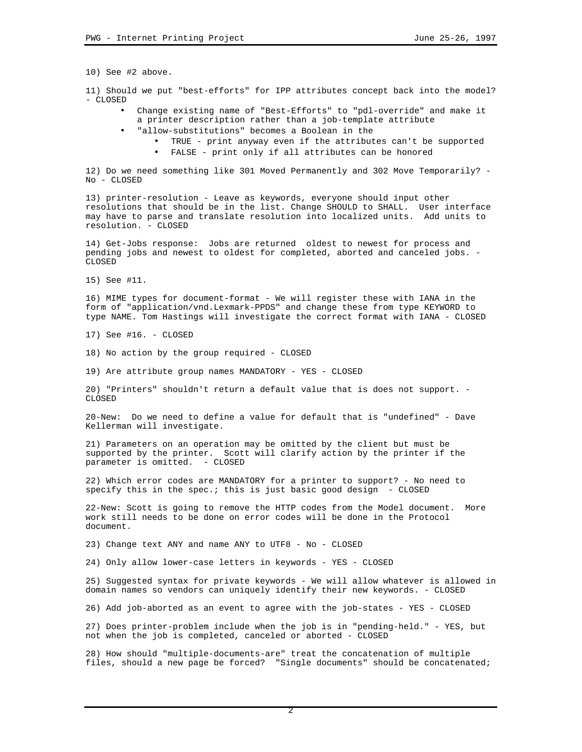10) See #2 above.

11) Should we put "best-efforts" for IPP attributes concept back into the model? - CLOSED

- Change existing name of "Best-Efforts" to "pdl-override" and make it a printer description rather than a job-template attribute
- "allow-substitutions" becomes a Boolean in the
	- TRUE print anyway even if the attributes can't be supported
	- FALSE print only if all attributes can be honored

12) Do we need something like 301 Moved Permanently and 302 Move Temporarily? - No - CLOSED

13) printer-resolution - Leave as keywords, everyone should input other resolutions that should be in the list. Change SHOULD to SHALL. User interface may have to parse and translate resolution into localized units. Add units to resolution. - CLOSED

14) Get-Jobs response: Jobs are returned oldest to newest for process and pending jobs and newest to oldest for completed, aborted and canceled jobs. - CLOSED

15) See #11.

16) MIME types for document-format - We will register these with IANA in the form of "application/vnd.Lexmark-PPDS" and change these from type KEYWORD to type NAME. Tom Hastings will investigate the correct format with IANA - CLOSED

17) See #16. - CLOSED

18) No action by the group required - CLOSED

19) Are attribute group names MANDATORY - YES - CLOSED

20) "Printers" shouldn't return a default value that is does not support. - CLOSED

20-New: Do we need to define a value for default that is "undefined" - Dave Kellerman will investigate.

21) Parameters on an operation may be omitted by the client but must be supported by the printer. Scott will clarify action by the printer if the parameter is omitted. - CLOSED

22) Which error codes are MANDATORY for a printer to support? - No need to specify this in the spec.; this is just basic good design - CLOSED

22-New: Scott is going to remove the HTTP codes from the Model document. More work still needs to be done on error codes will be done in the Protocol document.

23) Change text ANY and name ANY to UTF8 - No - CLOSED

24) Only allow lower-case letters in keywords - YES - CLOSED

25) Suggested syntax for private keywords - We will allow whatever is allowed in domain names so vendors can uniquely identify their new keywords. - CLOSED

26) Add job-aborted as an event to agree with the job-states - YES - CLOSED

27) Does printer-problem include when the job is in "pending-held." - YES, but not when the job is completed, canceled or aborted - CLOSED

28) How should "multiple-documents-are" treat the concatenation of multiple files, should a new page be forced? "Single documents" should be concatenated;

2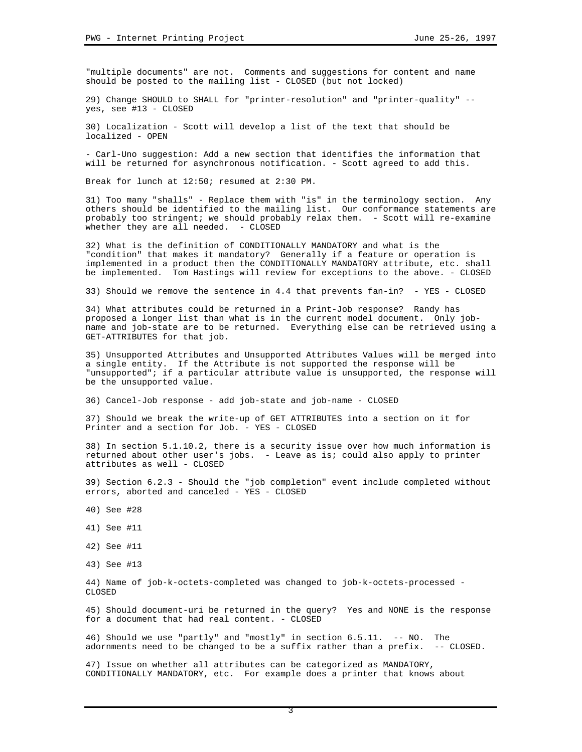"multiple documents" are not. Comments and suggestions for content and name should be posted to the mailing list - CLOSED (but not locked)

29) Change SHOULD to SHALL for "printer-resolution" and "printer-quality" - yes, see #13 - CLOSED

30) Localization - Scott will develop a list of the text that should be localized - OPEN

- Carl-Uno suggestion: Add a new section that identifies the information that will be returned for asynchronous notification. - Scott agreed to add this.

Break for lunch at 12:50; resumed at 2:30 PM.

31) Too many "shalls" - Replace them with "is" in the terminology section. Any others should be identified to the mailing list. Our conformance statements are probably too stringent; we should probably relax them. - Scott will re-examine whether they are all needed. - CLOSED

32) What is the definition of CONDITIONALLY MANDATORY and what is the "condition" that makes it mandatory? Generally if a feature or operation is implemented in a product then the CONDITIONALLY MANDATORY attribute, etc. shall be implemented. Tom Hastings will review for exceptions to the above. - CLOSED

33) Should we remove the sentence in 4.4 that prevents fan-in? - YES - CLOSED

34) What attributes could be returned in a Print-Job response? Randy has proposed a longer list than what is in the current model document. Only jobname and job-state are to be returned. Everything else can be retrieved using a GET-ATTRIBUTES for that job.

35) Unsupported Attributes and Unsupported Attributes Values will be merged into a single entity. If the Attribute is not supported the response will be "unsupported"; if a particular attribute value is unsupported, the response will be the unsupported value.

36) Cancel-Job response - add job-state and job-name - CLOSED

37) Should we break the write-up of GET ATTRIBUTES into a section on it for Printer and a section for Job. - YES - CLOSED

38) In section 5.1.10.2, there is a security issue over how much information is returned about other user's jobs. - Leave as is; could also apply to printer attributes as well - CLOSED

39) Section 6.2.3 - Should the "job completion" event include completed without errors, aborted and canceled - YES - CLOSED

- 40) See #28
- 41) See #11
- 42) See #11
- 43) See #13

44) Name of job-k-octets-completed was changed to job-k-octets-processed - CLOSED

45) Should document-uri be returned in the query? Yes and NONE is the response for a document that had real content. - CLOSED

46) Should we use "partly" and "mostly" in section 6.5.11. -- NO. The adornments need to be changed to be a suffix rather than a prefix. -- CLOSED.

47) Issue on whether all attributes can be categorized as MANDATORY, CONDITIONALLY MANDATORY, etc. For example does a printer that knows about

3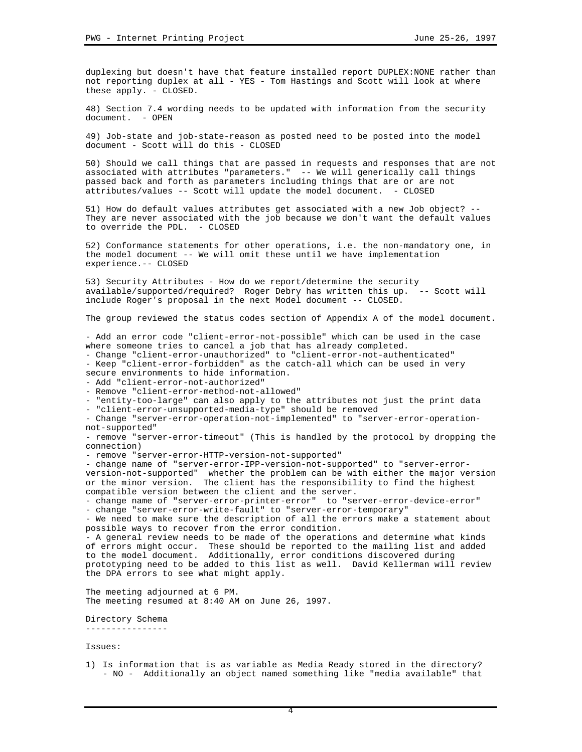duplexing but doesn't have that feature installed report DUPLEX:NONE rather than not reporting duplex at all - YES - Tom Hastings and Scott will look at where these apply. - CLOSED.

48) Section 7.4 wording needs to be updated with information from the security document - OPEN

49) Job-state and job-state-reason as posted need to be posted into the model document - Scott will do this - CLOSED

50) Should we call things that are passed in requests and responses that are not associated with attributes "parameters." -- We will generically call things passed back and forth as parameters including things that are or are not attributes/values -- Scott will update the model document. - CLOSED

51) How do default values attributes get associated with a new Job object? -- They are never associated with the job because we don't want the default values to override the PDL. - CLOSED

52) Conformance statements for other operations, i.e. the non-mandatory one, in the model document -- We will omit these until we have implementation experience.-- CLOSED

53) Security Attributes - How do we report/determine the security available/supported/required? Roger Debry has written this up. -- Scott will include Roger's proposal in the next Model document -- CLOSED.

The group reviewed the status codes section of Appendix A of the model document.

- Add an error code "client-error-not-possible" which can be used in the case where someone tries to cancel a job that has already completed.

- Change "client-error-unauthorized" to "client-error-not-authenticated"

- Keep "client-error-forbidden" as the catch-all which can be used in very secure environments to hide information.

- Add "client-error-not-authorized"

- Remove "client-error-method-not-allowed"

- "entity-too-large" can also apply to the attributes not just the print data

- "client-error-unsupported-media-type" should be removed

- Change "server-error-operation-not-implemented" to "server-error-operationnot-supported"

- remove "server-error-timeout" (This is handled by the protocol by dropping the connection)

- remove "server-error-HTTP-version-not-supported"

- change name of "server-error-IPP-version-not-supported" to "server-errorversion-not-supported" whether the problem can be with either the major version or the minor version. The client has the responsibility to find the highest compatible version between the client and the server.

- change name of "server-error-printer-error" to "server-error-device-error" - change "server-error-write-fault" to "server-error-temporary"

- We need to make sure the description of all the errors make a statement about possible ways to recover from the error condition.

- A general review needs to be made of the operations and determine what kinds of errors might occur. These should be reported to the mailing list and added to the model document. Additionally, error conditions discovered during prototyping need to be added to this list as well. David Kellerman will review the DPA errors to see what might apply.

The meeting adjourned at 6 PM. The meeting resumed at 8:40 AM on June 26, 1997.

Directory Schema ----------------

Issues:

1) Is information that is as variable as Media Ready stored in the directory? - NO - Additionally an object named something like "media available" that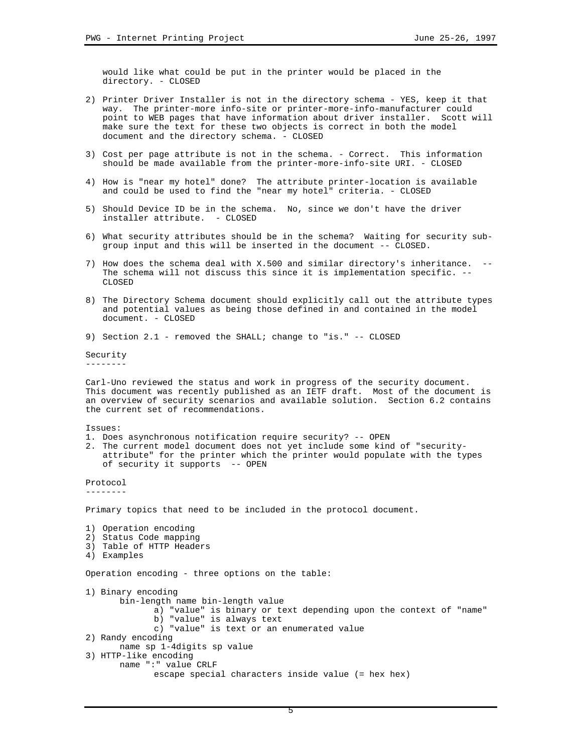would like what could be put in the printer would be placed in the directory. - CLOSED

- 2) Printer Driver Installer is not in the directory schema YES, keep it that way. The printer-more info-site or printer-more-info-manufacturer could point to WEB pages that have information about driver installer. Scott will make sure the text for these two objects is correct in both the model document and the directory schema. - CLOSED
- 3) Cost per page attribute is not in the schema. Correct. This information should be made available from the printer-more-info-site URI. - CLOSED
- 4) How is "near my hotel" done? The attribute printer-location is available and could be used to find the "near my hotel" criteria. - CLOSED
- 5) Should Device ID be in the schema. No, since we don't have the driver installer attribute. - CLOSED
- 6) What security attributes should be in the schema? Waiting for security subgroup input and this will be inserted in the document -- CLOSED.
- 7) How does the schema deal with X.500 and similar directory's inheritance. -- The schema will not discuss this since it is implementation specific. -- CLOSED
- 8) The Directory Schema document should explicitly call out the attribute types and potential values as being those defined in and contained in the model document. - CLOSED
- 9) Section 2.1 removed the SHALL; change to "is." -- CLOSED

Security --------

Carl-Uno reviewed the status and work in progress of the security document. This document was recently published as an IETF draft. Most of the document is an overview of security scenarios and available solution. Section 6.2 contains the current set of recommendations.

Issues:

- 1. Does asynchronous notification require security? -- OPEN
- 2. The current model document does not yet include some kind of "securityattribute" for the printer which the printer would populate with the types of security it supports -- OPEN

Protocol --------

Primary topics that need to be included in the protocol document.

1) Operation encoding 2) Status Code mapping 3) Table of HTTP Headers 4) Examples Operation encoding - three options on the table: 1) Binary encoding bin-length name bin-length value a) "value" is binary or text depending upon the context of "name" b) "value" is always text c) "value" is text or an enumerated value 2) Randy encoding name sp 1-4digits sp value 3) HTTP-like encoding name ":" value CRLF escape special characters inside value (= hex hex)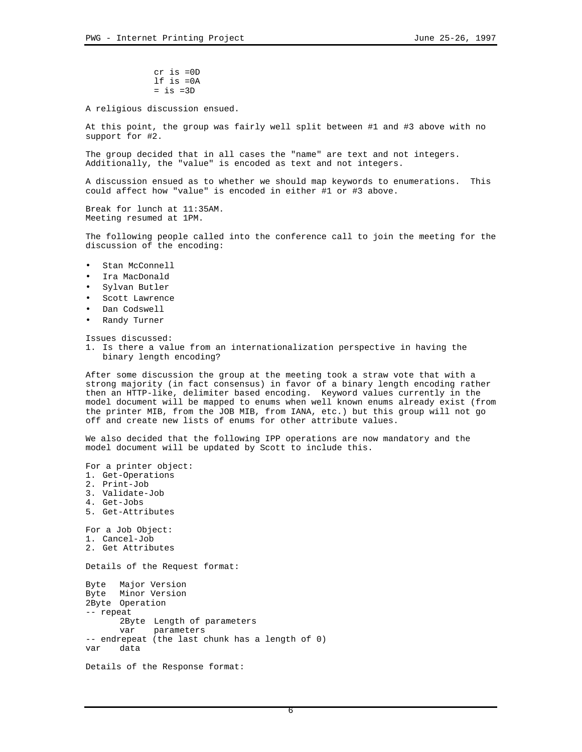cr is =0D lf is =0A  $=$  is  $=3D$ 

A religious discussion ensued.

At this point, the group was fairly well split between #1 and #3 above with no support for #2.

The group decided that in all cases the "name" are text and not integers. Additionally, the "value" is encoded as text and not integers.

A discussion ensued as to whether we should map keywords to enumerations. This could affect how "value" is encoded in either #1 or #3 above.

Break for lunch at 11:35AM. Meeting resumed at 1PM.

The following people called into the conference call to join the meeting for the discussion of the encoding:

- Stan McConnell
- Ira MacDonald
- Sylvan Butler
- Scott Lawrence
- Dan Codswell
- Randy Turner

Issues discussed:

1. Is there a value from an internationalization perspective in having the binary length encoding?

After some discussion the group at the meeting took a straw vote that with a strong majority (in fact consensus) in favor of a binary length encoding rather then an HTTP-like, delimiter based encoding. Keyword values currently in the model document will be mapped to enums when well known enums already exist (from the printer MIB, from the JOB MIB, from IANA, etc.) but this group will not go off and create new lists of enums for other attribute values.

We also decided that the following IPP operations are now mandatory and the model document will be updated by Scott to include this.

For a printer object: 1. Get-Operations 2. Print-Job 3. Validate-Job 4. Get-Jobs 5. Get-Attributes For a Job Object: 1. Cancel-Job 2. Get Attributes Details of the Request format: Byte Major Version Byte Minor Version 2Byte Operation -- repeat 2Byte Length of parameters var parameters -- endrepeat (the last chunk has a length of 0) var data Details of the Response format: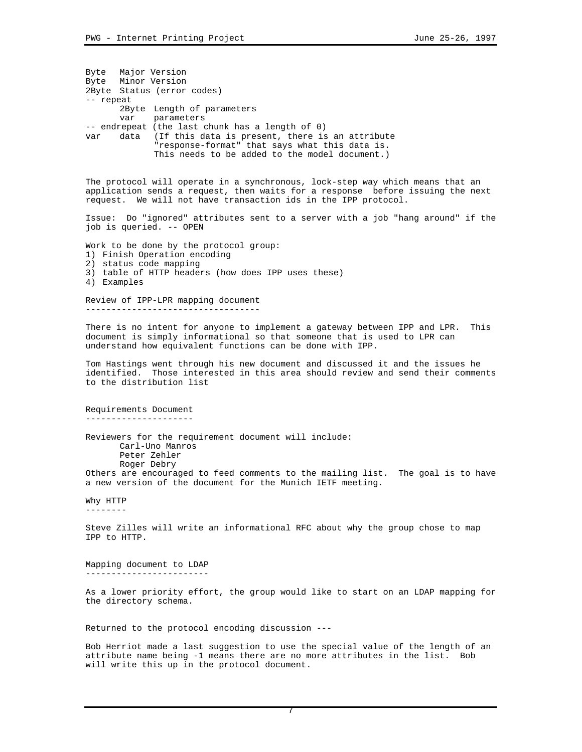Byte Major Version Byte Minor Version 2Byte Status (error codes) -- repeat 2Byte Length of parameters<br>var parameters parameters -- endrepeat (the last chunk has a length of 0) var data (If this data is present, there is an attribute "response-format" that says what this data is. This needs to be added to the model document.) The protocol will operate in a synchronous, lock-step way which means that an application sends a request, then waits for a response before issuing the next request. We will not have transaction ids in the IPP protocol. Issue: Do "ignored" attributes sent to a server with a job "hang around" if the job is queried. -- OPEN Work to be done by the protocol group: 1) Finish Operation encoding 2) status code mapping 3) table of HTTP headers (how does IPP uses these) 4) Examples Review of IPP-LPR mapping document ---------------------------------- There is no intent for anyone to implement a gateway between IPP and LPR. This document is simply informational so that someone that is used to LPR can understand how equivalent functions can be done with IPP. Tom Hastings went through his new document and discussed it and the issues he identified. Those interested in this area should review and send their comments to the distribution list Requirements Document --------------------- Reviewers for the requirement document will include: Carl-Uno Manros Peter Zehler Roger Debry Others are encouraged to feed comments to the mailing list. The goal is to have a new version of the document for the Munich IETF meeting. Why HTTP -------- Steve Zilles will write an informational RFC about why the group chose to map IPP to HTTP. Mapping document to LDAP ------------------------ As a lower priority effort, the group would like to start on an LDAP mapping for the directory schema. Returned to the protocol encoding discussion --- Bob Herriot made a last suggestion to use the special value of the length of an attribute name being -1 means there are no more attributes in the list. Bob

will write this up in the protocol document.